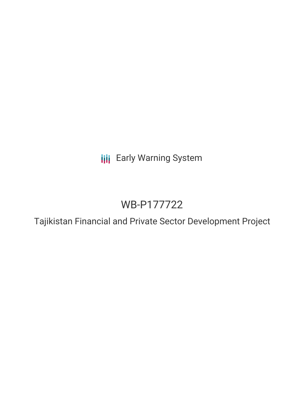**III** Early Warning System

# WB-P177722

Tajikistan Financial and Private Sector Development Project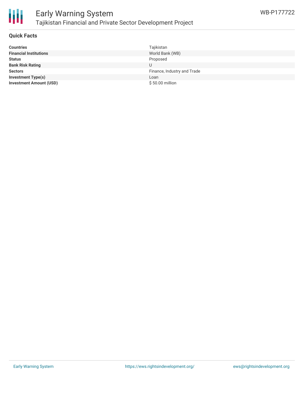

#### **Quick Facts**

| <b>Countries</b>               | Tajikistan                  |
|--------------------------------|-----------------------------|
| <b>Financial Institutions</b>  | World Bank (WB)             |
| <b>Status</b>                  | Proposed                    |
| <b>Bank Risk Rating</b>        |                             |
| <b>Sectors</b>                 | Finance, Industry and Trade |
| <b>Investment Type(s)</b>      | Loan                        |
| <b>Investment Amount (USD)</b> | \$50.00 million             |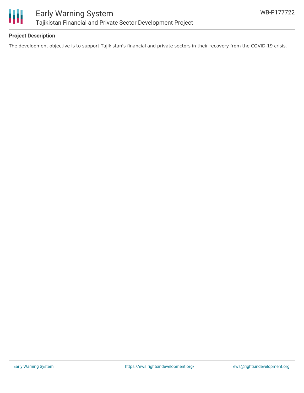

# **Project Description**

The development objective is to support Tajikistan's financial and private sectors in their recovery from the COVID-19 crisis.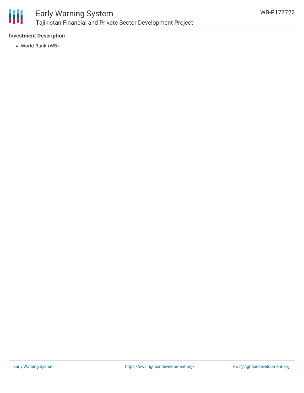

# Early Warning System Tajikistan Financial and Private Sector Development Project

# **Investment Description**

World Bank (WB)